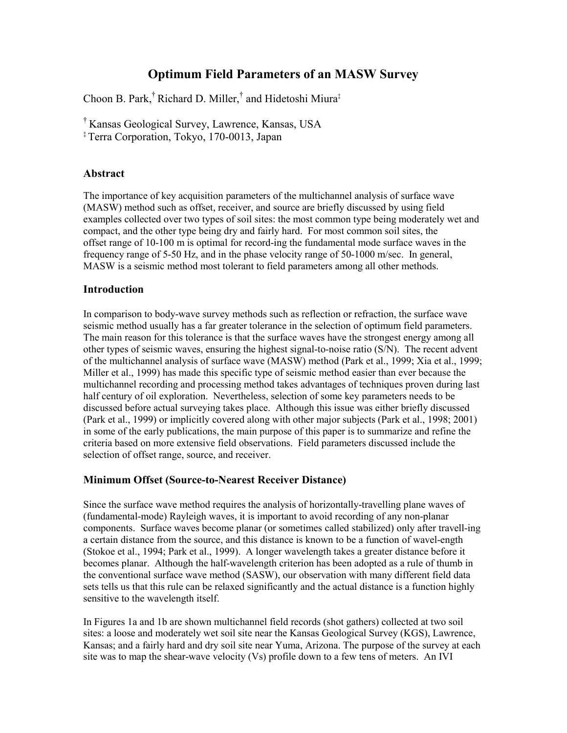# **Optimum Field Parameters of an MASW Survey**

Choon B. Park,† Richard D. Miller,† and Hidetoshi Miura‡

† Kansas Geological Survey, Lawrence, Kansas, USA

‡ Terra Corporation, Tokyo, 170-0013, Japan

## **Abstract**

The importance of key acquisition parameters of the multichannel analysis of surface wave (MASW) method such as offset, receiver, and source are briefly discussed by using field examples collected over two types of soil sites: the most common type being moderately wet and compact, and the other type being dry and fairly hard. For most common soil sites, the offset range of 10-100 m is optimal for record-ing the fundamental mode surface waves in the frequency range of 5-50 Hz, and in the phase velocity range of 50-1000 m/sec. In general, MASW is a seismic method most tolerant to field parameters among all other methods.

## **Introduction**

In comparison to body-wave survey methods such as reflection or refraction, the surface wave seismic method usually has a far greater tolerance in the selection of optimum field parameters. The main reason for this tolerance is that the surface waves have the strongest energy among all other types of seismic waves, ensuring the highest signal-to-noise ratio (S/N). The recent advent of the multichannel analysis of surface wave (MASW) method (Park et al., 1999; Xia et al., 1999; Miller et al., 1999) has made this specific type of seismic method easier than ever because the multichannel recording and processing method takes advantages of techniques proven during last half century of oil exploration. Nevertheless, selection of some key parameters needs to be discussed before actual surveying takes place. Although this issue was either briefly discussed (Park et al., 1999) or implicitly covered along with other major subjects (Park et al., 1998; 2001) in some of the early publications, the main purpose of this paper is to summarize and refine the criteria based on more extensive field observations. Field parameters discussed include the selection of offset range, source, and receiver.

## **Minimum Offset (Source-to-Nearest Receiver Distance)**

Since the surface wave method requires the analysis of horizontally-travelling plane waves of (fundamental-mode) Rayleigh waves, it is important to avoid recording of any non-planar components. Surface waves become planar (or sometimes called stabilized) only after travell-ing a certain distance from the source, and this distance is known to be a function of wavel-ength (Stokoe et al., 1994; Park et al., 1999). A longer wavelength takes a greater distance before it becomes planar. Although the half-wavelength criterion has been adopted as a rule of thumb in the conventional surface wave method (SASW), our observation with many different field data sets tells us that this rule can be relaxed significantly and the actual distance is a function highly sensitive to the wavelength itself.

In Figures 1a and 1b are shown multichannel field records (shot gathers) collected at two soil sites: a loose and moderately wet soil site near the Kansas Geological Survey (KGS), Lawrence, Kansas; and a fairly hard and dry soil site near Yuma, Arizona. The purpose of the survey at each site was to map the shear-wave velocity (Vs) profile down to a few tens of meters. An IVI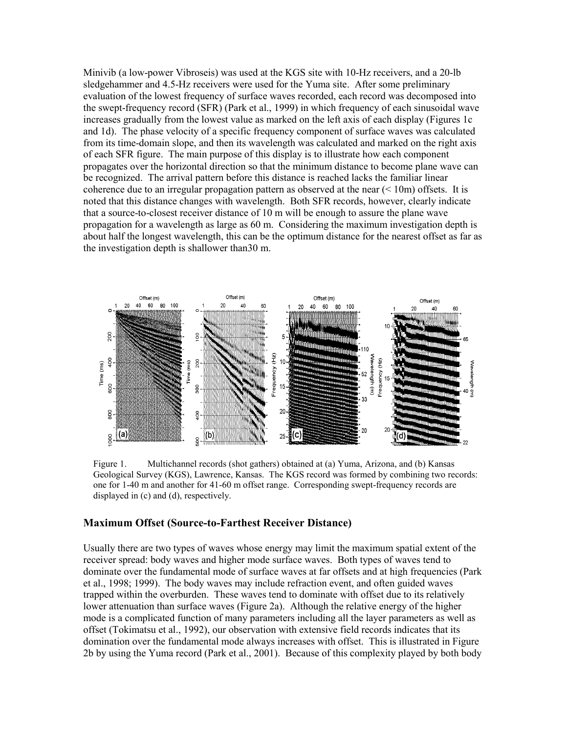Minivib (a low-power Vibroseis) was used at the KGS site with 10-Hz receivers, and a 20-lb sledgehammer and 4.5-Hz receivers were used for the Yuma site. After some preliminary evaluation of the lowest frequency of surface waves recorded, each record was decomposed into the swept-frequency record (SFR) (Park et al., 1999) in which frequency of each sinusoidal wave increases gradually from the lowest value as marked on the left axis of each display (Figures 1c and 1d). The phase velocity of a specific frequency component of surface waves was calculated from its time-domain slope, and then its wavelength was calculated and marked on the right axis of each SFR figure. The main purpose of this display is to illustrate how each component propagates over the horizontal direction so that the minimum distance to become plane wave can be recognized. The arrival pattern before this distance is reached lacks the familiar linear coherence due to an irregular propagation pattern as observed at the near  $( $10m$ ) offsets. It is$ noted that this distance changes with wavelength. Both SFR records, however, clearly indicate that a source-to-closest receiver distance of 10 m will be enough to assure the plane wave propagation for a wavelength as large as 60 m. Considering the maximum investigation depth is about half the longest wavelength, this can be the optimum distance for the nearest offset as far as the investigation depth is shallower than30 m.



Figure 1. Multichannel records (shot gathers) obtained at (a) Yuma, Arizona, and (b) Kansas Geological Survey (KGS), Lawrence, Kansas. The KGS record was formed by combining two records: one for 1-40 m and another for 41-60 m offset range. Corresponding swept-frequency records are displayed in (c) and (d), respectively.

#### **Maximum Offset (Source-to-Farthest Receiver Distance)**

Usually there are two types of waves whose energy may limit the maximum spatial extent of the receiver spread: body waves and higher mode surface waves. Both types of waves tend to dominate over the fundamental mode of surface waves at far offsets and at high frequencies (Park et al., 1998; 1999). The body waves may include refraction event, and often guided waves trapped within the overburden. These waves tend to dominate with offset due to its relatively lower attenuation than surface waves (Figure 2a). Although the relative energy of the higher mode is a complicated function of many parameters including all the layer parameters as well as offset (Tokimatsu et al., 1992), our observation with extensive field records indicates that its domination over the fundamental mode always increases with offset. This is illustrated in Figure 2b by using the Yuma record (Park et al., 2001). Because of this complexity played by both body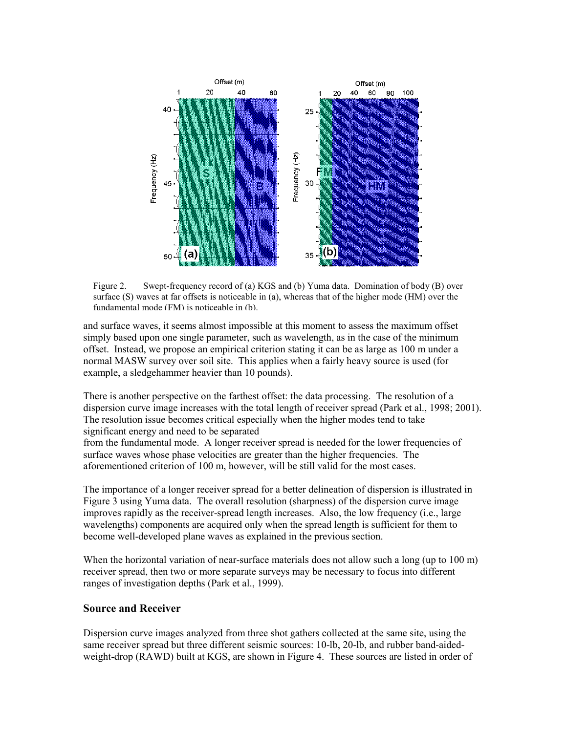

Figure 2. Swept-frequency record of (a) KGS and (b) Yuma data. Domination of body (B) over surface (S) waves at far offsets is noticeable in (a), whereas that of the higher mode (HM) over the fundamental mode (FM) is noticeable in (b).

and surface waves, it seems almost impossible at this moment to assess the maximum offset simply based upon one single parameter, such as wavelength, as in the case of the minimum offset. Instead, we propose an empirical criterion stating it can be as large as 100 m under a normal MASW survey over soil site. This applies when a fairly heavy source is used (for example, a sledgehammer heavier than 10 pounds).

There is another perspective on the farthest offset: the data processing. The resolution of a dispersion curve image increases with the total length of receiver spread (Park et al., 1998; 2001). The resolution issue becomes critical especially when the higher modes tend to take significant energy and need to be separated

from the fundamental mode. A longer receiver spread is needed for the lower frequencies of surface waves whose phase velocities are greater than the higher frequencies. The aforementioned criterion of 100 m, however, will be still valid for the most cases.

The importance of a longer receiver spread for a better delineation of dispersion is illustrated in Figure 3 using Yuma data. The overall resolution (sharpness) of the dispersion curve image improves rapidly as the receiver-spread length increases. Also, the low frequency (i.e., large wavelengths) components are acquired only when the spread length is sufficient for them to become well-developed plane waves as explained in the previous section.

When the horizontal variation of near-surface materials does not allow such a long (up to 100 m) receiver spread, then two or more separate surveys may be necessary to focus into different ranges of investigation depths (Park et al., 1999).

#### **Source and Receiver**

Dispersion curve images analyzed from three shot gathers collected at the same site, using the same receiver spread but three different seismic sources: 10-lb, 20-lb, and rubber band-aidedweight-drop (RAWD) built at KGS, are shown in Figure 4. These sources are listed in order of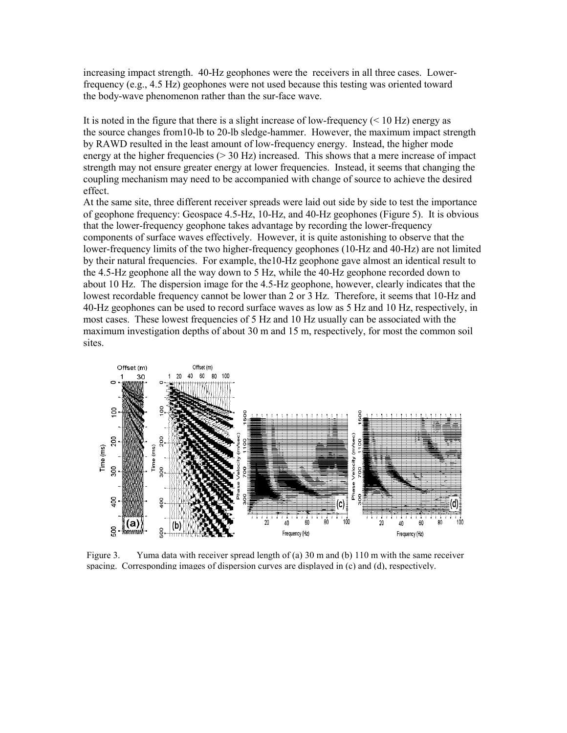increasing impact strength. 40-Hz geophones were the receivers in all three cases. Lowerfrequency (e.g., 4.5 Hz) geophones were not used because this testing was oriented toward the body-wave phenomenon rather than the sur-face wave.

It is noted in the figure that there is a slight increase of low-frequency  $(< 10 \text{ Hz})$  energy as the source changes from10-lb to 20-lb sledge-hammer. However, the maximum impact strength by RAWD resulted in the least amount of low-frequency energy. Instead, the higher mode energy at the higher frequencies  $(> 30 \text{ Hz})$  increased. This shows that a mere increase of impact strength may not ensure greater energy at lower frequencies. Instead, it seems that changing the coupling mechanism may need to be accompanied with change of source to achieve the desired effect.

At the same site, three different receiver spreads were laid out side by side to test the importance of geophone frequency: Geospace 4.5-Hz, 10-Hz, and 40-Hz geophones (Figure 5). It is obvious that the lower-frequency geophone takes advantage by recording the lower-frequency components of surface waves effectively. However, it is quite astonishing to observe that the lower-frequency limits of the two higher-frequency geophones (10-Hz and 40-Hz) are not limited by their natural frequencies. For example, the10-Hz geophone gave almost an identical result to the 4.5-Hz geophone all the way down to 5 Hz, while the 40-Hz geophone recorded down to about 10 Hz. The dispersion image for the 4.5-Hz geophone, however, clearly indicates that the lowest recordable frequency cannot be lower than 2 or 3 Hz. Therefore, it seems that 10-Hz and 40-Hz geophones can be used to record surface waves as low as 5 Hz and 10 Hz, respectively, in most cases. These lowest frequencies of 5 Hz and 10 Hz usually can be associated with the maximum investigation depths of about 30 m and 15 m, respectively, for most the common soil sites.



Figure 3. Yuma data with receiver spread length of (a) 30 m and (b) 110 m with the same receiver spacing. Corresponding images of dispersion curves are displayed in (c) and (d), respectively.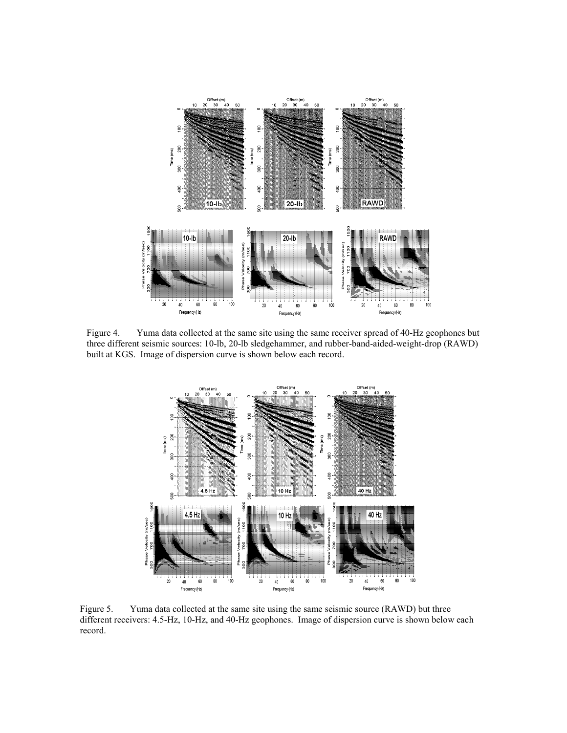

Figure 4. Yuma data collected at the same site using the same receiver spread of 40-Hz geophones but three different seismic sources: 10-lb, 20-lb sledgehammer, and rubber-band-aided-weight-drop (RAWD) built at KGS. Image of dispersion curve is shown below each record.



Figure 5. Yuma data collected at the same site using the same seismic source (RAWD) but three different receivers: 4.5-Hz, 10-Hz, and 40-Hz geophones. Image of dispersion curve is shown below each record.